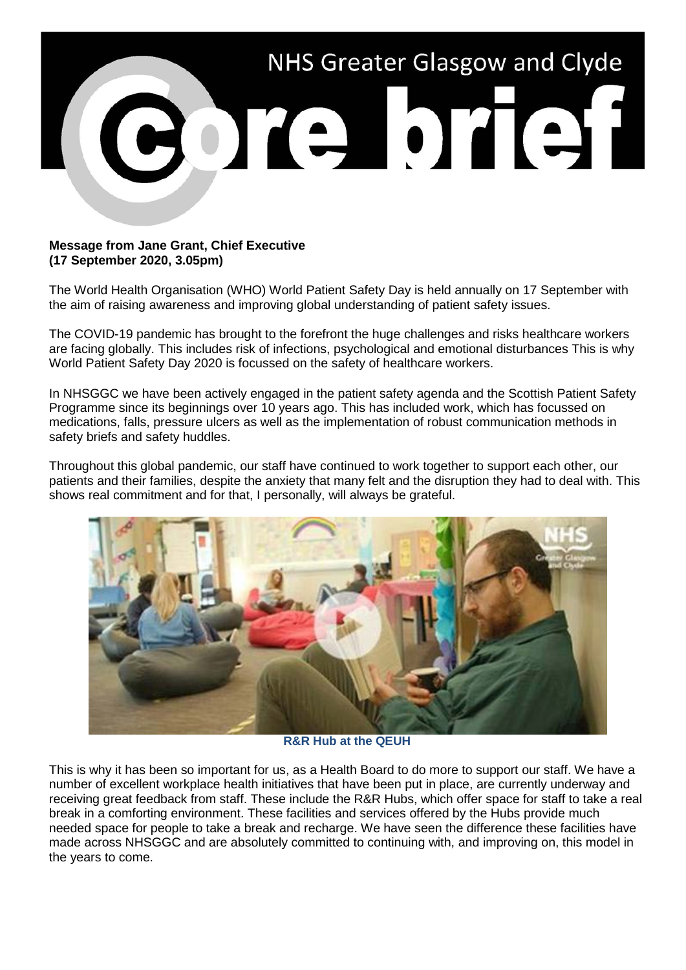

## **Message from Jane Grant, Chief Executive (17 September 2020, 3.05pm)**

The World Health Organisation (WHO) World Patient Safety Day is held annually on 17 September with the aim of raising awareness and improving global understanding of patient safety issues.

The COVID-19 pandemic has brought to the forefront the huge challenges and risks healthcare workers are facing globally. This includes risk of infections, psychological and emotional disturbances This is why World Patient Safety Day 2020 is focussed on the safety of healthcare workers.

In NHSGGC we have been actively engaged in the patient safety agenda and the Scottish Patient Safety Programme since its beginnings over 10 years ago. This has included work, which has focussed on medications, falls, pressure ulcers as well as the implementation of robust communication methods in safety briefs and safety huddles.

Throughout this global pandemic, our staff have continued to work together to support each other, our patients and their families, despite the anxiety that many felt and the disruption they had to deal with. This shows real commitment and for that, I personally, will always be grateful.



**R&R Hub at the QEUH**

This is why it has been so important for us, as a Health Board to do more to support our staff. We have a number of excellent workplace health initiatives that have been put in place, are currently underway and receiving great feedback from staff. These include the R&R Hubs, which offer space for staff to take a real break in a comforting environment. These facilities and services offered by the Hubs provide much needed space for people to take a break and recharge. We have seen the difference these facilities have made across NHSGGC and are absolutely committed to continuing with, and improving on, this model in the years to come.